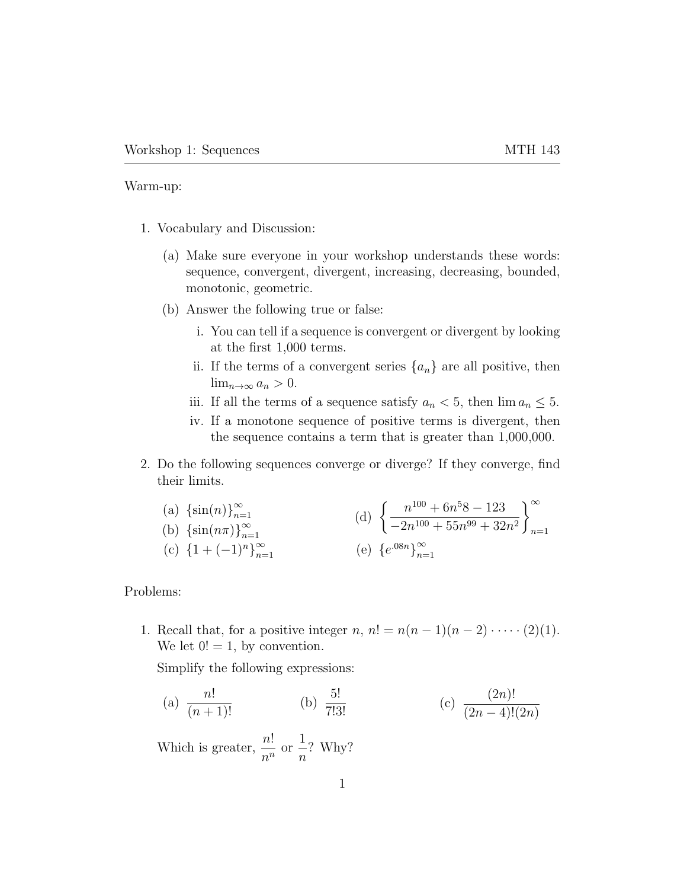Warm-up:

- 1. Vocabulary and Discussion:
	- (a) Make sure everyone in your workshop understands these words: sequence, convergent, divergent, increasing, decreasing, bounded, monotonic, geometric.
	- (b) Answer the following true or false:
		- i. You can tell if a sequence is convergent or divergent by looking at the first 1,000 terms.
		- ii. If the terms of a convergent series  $\{a_n\}$  are all positive, then  $\lim_{n\to\infty} a_n > 0.$
		- iii. If all the terms of a sequence satisfy  $a_n < 5$ , then  $\lim a_n \leq 5$ .
		- iv. If a monotone sequence of positive terms is divergent, then the sequence contains a term that is greater than 1,000,000.
- 2. Do the following sequences converge or diverge? If they converge, find their limits.

(a) 
$$
\{\sin(n)\}_{n=1}^{\infty}
$$
  
\n(b)  $\{\sin(n\pi)\}_{n=1}^{\infty}$   
\n(c)  $\{1 + (-1)^n\}_{n=1}^{\infty}$   
\n(d)  $\left\{\frac{n^{100} + 6n^58 - 123}{-2n^{100} + 55n^{99} + 32n^2}\right\}_{n=1}^{\infty}$   
\n(e)  $\{e^{.08n}\}_{n=1}^{\infty}$ 

Problems:

1. Recall that, for a positive integer  $n, n! = n(n-1)(n-2)\cdots (2)(1)$ . We let  $0! = 1$ , by convention.

Simplify the following expressions:

(a)  $\frac{n!}{(n+1)!}$ (b)  $\frac{5!}{7!3!}$  $\frac{5!}{7!3!}$  (c)  $\frac{(2n)!}{(2n-4)!(2n)}$ 

Which is greater,  $\frac{n!}{n!}$  $\frac{n}{n^n}$  or 1 n ? Why?